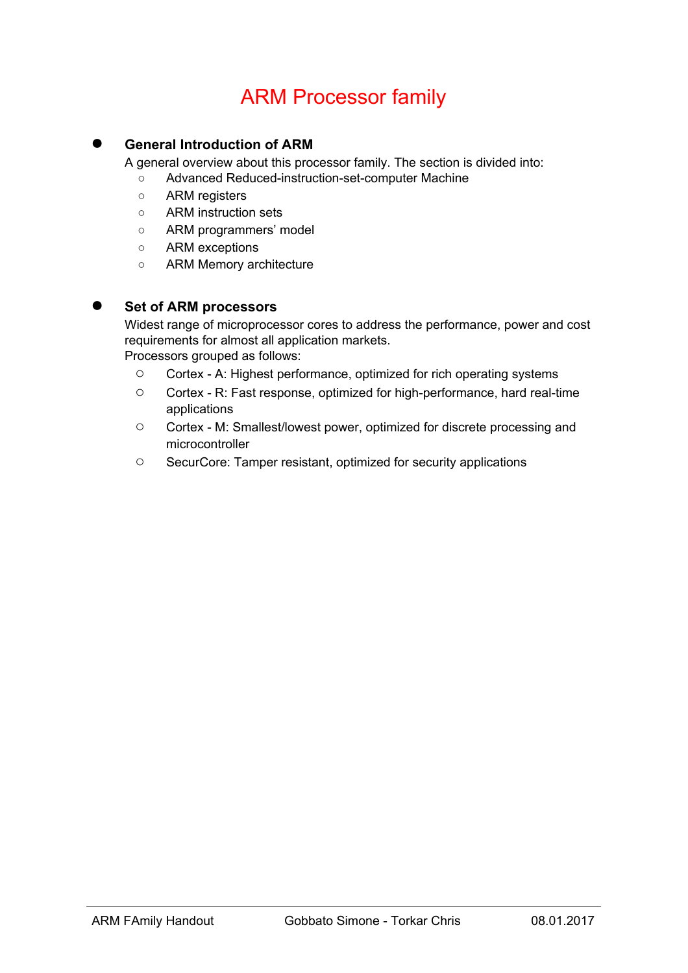# ARM Processor family

## **General Introduction of ARM**

A general overview about this processor family. The section is divided into:

- Advanced Reduced-instruction-set-computer Machine
- ARM registers
- ARM instruction sets
- ARM programmers' model
- ARM exceptions
- ARM Memory architecture

#### **Set of ARM processors**

Widest range of microprocessor cores to address the performance, power and cost requirements for almost all application markets.

Processors grouped as follows:

- Cortex A: Highest performance, optimized for rich operating systems
- Cortex R: Fast response, optimized for high-performance, hard real-time applications
- Cortex M: Smallest/lowest power, optimized for discrete processing and microcontroller
- SecurCore: Tamper resistant, optimized for security applications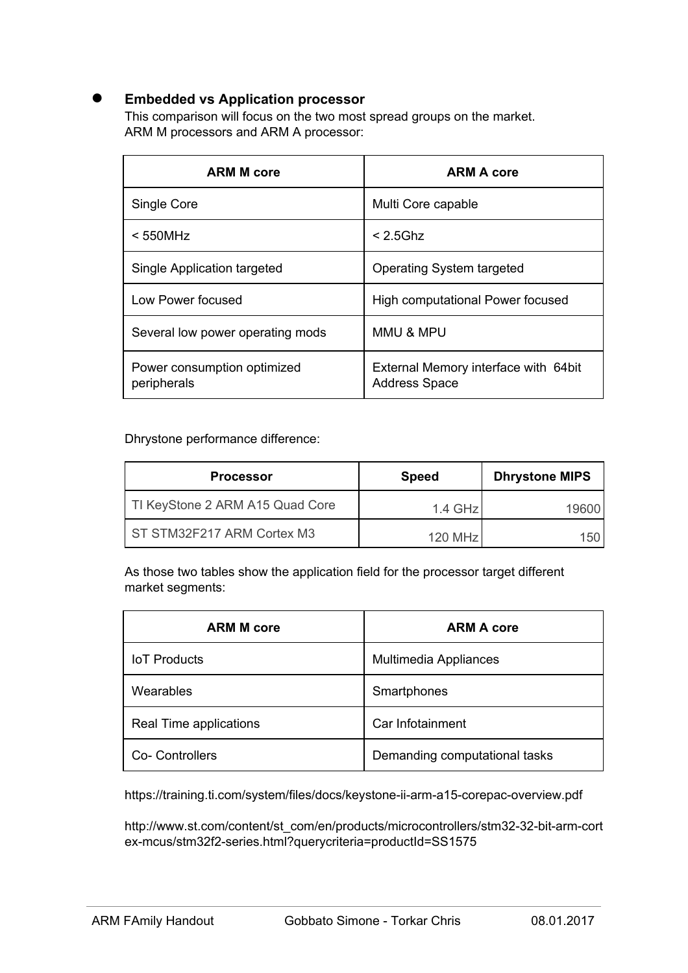## ● **Embedded vs Application processor**

This comparison will focus on the two most spread groups on the market. ARM M processors and ARM A processor:

| <b>ARM M core</b>                          | <b>ARM A core</b>                                            |
|--------------------------------------------|--------------------------------------------------------------|
| Single Core                                | Multi Core capable                                           |
| $< 550$ MHz                                | $< 2.5$ Ghz                                                  |
| Single Application targeted                | <b>Operating System targeted</b>                             |
| Low Power focused                          | High computational Power focused                             |
| Several low power operating mods           | <b>MMU &amp; MPU</b>                                         |
| Power consumption optimized<br>peripherals | External Memory interface with 64bit<br><b>Address Space</b> |

Dhrystone performance difference:

| <b>Processor</b>                | <b>Speed</b> | <b>Dhrystone MIPS</b> |
|---------------------------------|--------------|-----------------------|
| TI KeyStone 2 ARM A15 Quad Core | $1.4$ GHz    | 19600                 |
| ST STM32F217 ARM Cortex M3      | 120 MHz      | 150                   |

As those two tables show the application field for the processor target different market segments:

| <b>ARM M core</b>      | <b>ARM A core</b>             |
|------------------------|-------------------------------|
| <b>IoT</b> Products    | Multimedia Appliances         |
| Wearables              | Smartphones                   |
| Real Time applications | Car Infotainment              |
| <b>Co- Controllers</b> | Demanding computational tasks |

https://training.ti.com/system/files/docs/keystone-ii-arm-a15-corepac-overview.pdf

http://www.st.com/content/st\_com/en/products/microcontrollers/stm32-32-bit-arm-cort ex-mcus/stm32f2-series.html?querycriteria=productId=SS1575